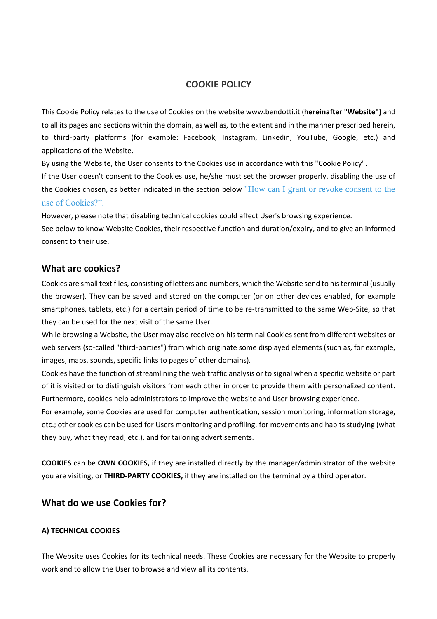# **COOKIE POLICY**

This Cookie Policy relates to the use of Cookies on the website www.bendotti.it (**hereinafter "Website")** and to all its pages and sections within the domain, as well as, to the extent and in the manner prescribed herein, to third-party platforms (for example: Facebook, Instagram, Linkedin, YouTube, Google, etc.) and applications of the Website.

By using the Website, the User consents to the Cookies use in accordance with this "Cookie Policy".

If the User doesn't consent to the Cookies use, he/she must set the browser properly, disabling the use of the Cookies chosen, as better indicated in the section below ["How can I grant or revoke consent to the](#page-9-0)  [use of Cookies?".](#page-9-0)

However, please note that disabling technical cookies could affect User's browsing experience.

See below to know Website Cookies, their respective function and duration/expiry, and to give an informed consent to their use.

### **What are cookies?**

Cookies are small text files, consisting of letters and numbers, which the Website send to his terminal (usually the browser). They can be saved and stored on the computer (or on other devices enabled, for example smartphones, tablets, etc.) for a certain period of time to be re-transmitted to the same Web-Site, so that they can be used for the next visit of the same User.

While browsing a Website, the User may also receive on his terminal Cookies sent from different websites or web servers (so-called "third-parties") from which originate some displayed elements (such as, for example, images, maps, sounds, specific links to pages of other domains).

Cookies have the function of streamlining the web traffic analysis or to signal when a specific website or part of it is visited or to distinguish visitors from each other in order to provide them with personalized content. Furthermore, cookies help administrators to improve the website and User browsing experience.

For example, some Cookies are used for computer authentication, session monitoring, information storage, etc.; other cookies can be used for Users monitoring and profiling, for movements and habits studying (what they buy, what they read, etc.), and for tailoring advertisements.

**COOKIES** can be **OWN COOKIES,** if they are installed directly by the manager/administrator of the website you are visiting, or **THIRD-PARTY COOKIES,** if they are installed on the terminal by a third operator.

## **What do we use Cookies for?**

### **A) TECHNICAL COOKIES**

The Website uses Cookies for its technical needs. These Cookies are necessary for the Website to properly work and to allow the User to browse and view all its contents.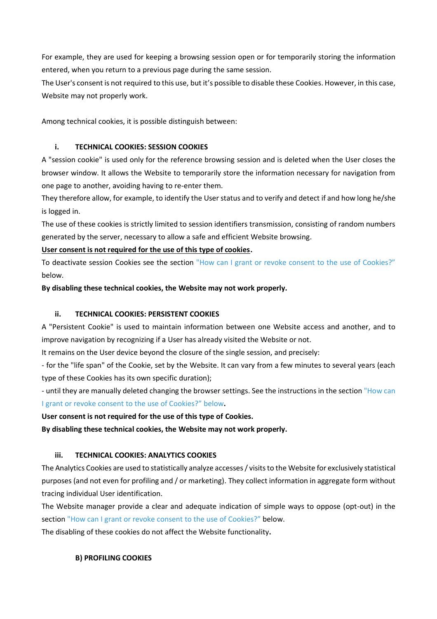For example, they are used for keeping a browsing session open or for temporarily storing the information entered, when you return to a previous page during the same session.

The User's consent is not required to this use, but it's possible to disable these Cookies. However, in this case, Website may not properly work.

Among technical cookies, it is possible distinguish between:

## **i. TECHNICAL COOKIES: SESSION COOKIES**

A "session cookie" is used only for the reference browsing session and is deleted when the User closes the browser window. It allows the Website to temporarily store the information necessary for navigation from one page to another, avoiding having to re-enter them.

They therefore allow, for example, to identify the User status and to verify and detect if and how long he/she is logged in.

The use of these cookies is strictly limited to session identifiers transmission, consisting of random numbers generated by the server, necessary to allow a safe and efficient Website browsing.

## **User consent is not required for the use of this type of cookies.**

To deactivate session Cookies see the section ["How can I grant or revoke consent to the use of Cookies?"](#page-9-0) below.

**By disabling these technical cookies, the Website may not work properly.**

# **ii. TECHNICAL COOKIES: PERSISTENT COOKIES**

A "Persistent Cookie" is used to maintain information between one Website access and another, and to improve navigation by recognizing if a User has already visited the Website or not.

It remains on the User device beyond the closure of the single session, and precisely:

- for the "life span" of the Cookie, set by the Website. It can vary from a few minutes to several years (each type of these Cookies has its own specific duration);

- until they are manually deleted changing the browser settings. See the instructions in the section ["How can](#page-9-0)  [I grant or revoke consent to the use of Cookies?"](#page-9-0) below**.**

**User consent is not required for the use of this type of Cookies.**

**By disabling these technical cookies, the Website may not work properly.**

# **iii. TECHNICAL COOKIES: ANALYTICS COOKIES**

The Analytics Cookies are used to statistically analyze accesses / visits to the Website for exclusively statistical purposes (and not even for profiling and / or marketing). They collect information in aggregate form without tracing individual User identification.

The Website manager provide a clear and adequate indication of simple ways to oppose (opt-out) in the section ["How can I grant or revoke consent to the use of Cookies?"](#page-9-0) below.

The disabling of these cookies do not affect the Website functionality**.**

# **B) PROFILING COOKIES**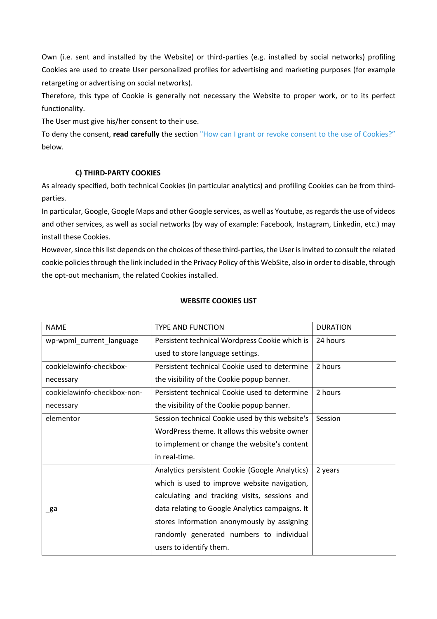Own (i.e. sent and installed by the Website) or third-parties (e.g. installed by social networks) profiling Cookies are used to create User personalized profiles for advertising and marketing purposes (for example retargeting or advertising on social networks).

Therefore, this type of Cookie is generally not necessary the Website to proper work, or to its perfect functionality.

The User must give his/her consent to their use.

To deny the consent, **read carefully** the section ["How can I grant or revoke consent to the use of Cookies?"](#page-9-0) below.

# **C) THIRD-PARTY COOKIES**

As already specified, both technical Cookies (in particular analytics) and profiling Cookies can be from thirdparties.

In particular, Google, Google Maps and other Google services, as well as Youtube, as regards the use of videos and other services, as well as social networks (by way of example: Facebook, Instagram, Linkedin, etc.) may install these Cookies.

However, since this list depends on the choices of these third-parties, the User is invited to consult the related cookie policies through the link included in the Privacy Policy of this WebSite, also in order to disable, through the opt-out mechanism, the related Cookies installed.

| <b>NAME</b>                 | <b>TYPE AND FUNCTION</b>                        | <b>DURATION</b> |
|-----------------------------|-------------------------------------------------|-----------------|
| wp-wpml_current_language    | Persistent technical Wordpress Cookie which is  | 24 hours        |
|                             | used to store language settings.                |                 |
| cookielawinfo-checkbox-     | Persistent technical Cookie used to determine   | 2 hours         |
| necessary                   | the visibility of the Cookie popup banner.      |                 |
| cookielawinfo-checkbox-non- | Persistent technical Cookie used to determine   | 2 hours         |
| necessary                   | the visibility of the Cookie popup banner.      |                 |
| elementor                   | Session technical Cookie used by this website's | Session         |
|                             | WordPress theme. It allows this website owner   |                 |
|                             | to implement or change the website's content    |                 |
|                             | in real-time.                                   |                 |
|                             | Analytics persistent Cookie (Google Analytics)  | 2 years         |
|                             | which is used to improve website navigation,    |                 |
|                             | calculating and tracking visits, sessions and   |                 |
| _ga                         | data relating to Google Analytics campaigns. It |                 |
|                             | stores information anonymously by assigning     |                 |
|                             | randomly generated numbers to individual        |                 |
|                             | users to identify them.                         |                 |

### **WEBSITE COOKIES LIST**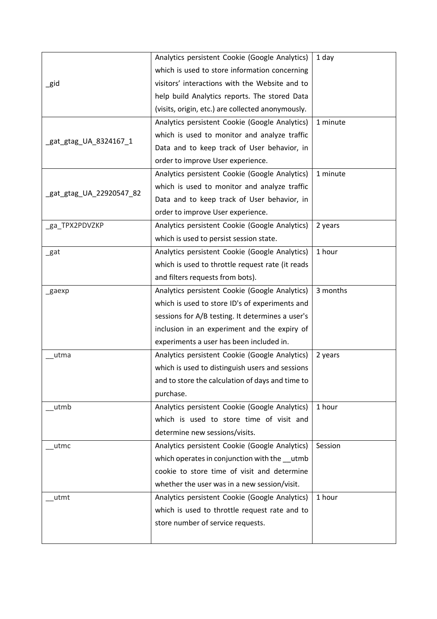|                          | Analytics persistent Cookie (Google Analytics)    | 1 day    |
|--------------------------|---------------------------------------------------|----------|
|                          | which is used to store information concerning     |          |
| _gid                     | visitors' interactions with the Website and to    |          |
|                          | help build Analytics reports. The stored Data     |          |
|                          | (visits, origin, etc.) are collected anonymously. |          |
|                          | Analytics persistent Cookie (Google Analytics)    | 1 minute |
|                          | which is used to monitor and analyze traffic      |          |
| _gat_gtag_UA_8324167_1   | Data and to keep track of User behavior, in       |          |
|                          | order to improve User experience.                 |          |
|                          | Analytics persistent Cookie (Google Analytics)    | 1 minute |
|                          | which is used to monitor and analyze traffic      |          |
| _gat_gtag_UA_22920547_82 | Data and to keep track of User behavior, in       |          |
|                          | order to improve User experience.                 |          |
| _ga_TPX2PDVZKP           | Analytics persistent Cookie (Google Analytics)    | 2 years  |
|                          | which is used to persist session state.           |          |
| _gat                     | Analytics persistent Cookie (Google Analytics)    | 1 hour   |
|                          | which is used to throttle request rate (it reads  |          |
|                          | and filters requests from bots).                  |          |
| _gaexp                   | Analytics persistent Cookie (Google Analytics)    | 3 months |
|                          | which is used to store ID's of experiments and    |          |
|                          | sessions for A/B testing. It determines a user's  |          |
|                          | inclusion in an experiment and the expiry of      |          |
|                          | experiments a user has been included in.          |          |
| utma                     | Analytics persistent Cookie (Google Analytics)    | 2 years  |
|                          | which is used to distinguish users and sessions   |          |
|                          | and to store the calculation of days and time to  |          |
|                          | purchase.                                         |          |
| utmb                     | Analytics persistent Cookie (Google Analytics)    | 1 hour   |
|                          | which is used to store time of visit and          |          |
|                          | determine new sessions/visits.                    |          |
| utmc                     | Analytics persistent Cookie (Google Analytics)    | Session  |
|                          | which operates in conjunction with the utmb       |          |
|                          | cookie to store time of visit and determine       |          |
|                          | whether the user was in a new session/visit.      |          |
| utmt                     | Analytics persistent Cookie (Google Analytics)    | 1 hour   |
|                          | which is used to throttle request rate and to     |          |
|                          | store number of service requests.                 |          |
|                          |                                                   |          |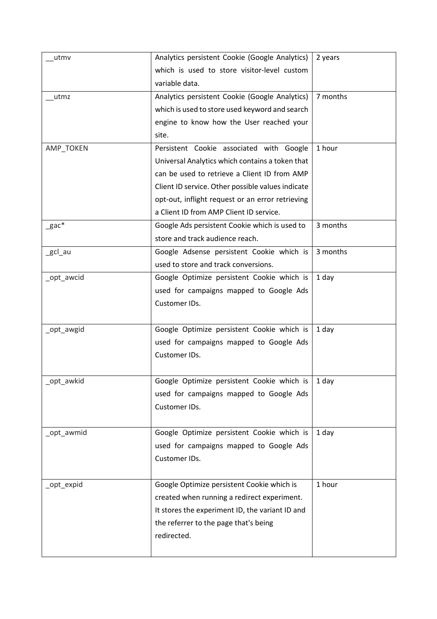| utmv         | Analytics persistent Cookie (Google Analytics)    | 2 years  |
|--------------|---------------------------------------------------|----------|
|              | which is used to store visitor-level custom       |          |
|              | variable data.                                    |          |
| utmz         | Analytics persistent Cookie (Google Analytics)    | 7 months |
|              | which is used to store used keyword and search    |          |
|              | engine to know how the User reached your          |          |
|              | site.                                             |          |
| AMP_TOKEN    | Persistent Cookie associated with Google          | 1 hour   |
|              | Universal Analytics which contains a token that   |          |
|              | can be used to retrieve a Client ID from AMP      |          |
|              | Client ID service. Other possible values indicate |          |
|              | opt-out, inflight request or an error retrieving  |          |
|              | a Client ID from AMP Client ID service.           |          |
| $\_$ gac $*$ | Google Ads persistent Cookie which is used to     | 3 months |
|              | store and track audience reach.                   |          |
| _gcl_au      | Google Adsense persistent Cookie which is         | 3 months |
|              | used to store and track conversions.              |          |
| _opt_awcid   | Google Optimize persistent Cookie which is        | 1 day    |
|              | used for campaigns mapped to Google Ads           |          |
|              | Customer IDs.                                     |          |
|              |                                                   |          |
| _opt_awgid   | Google Optimize persistent Cookie which is        | 1 day    |
|              | used for campaigns mapped to Google Ads           |          |
|              | Customer IDs.                                     |          |
|              |                                                   |          |
| _opt_awkid   | Google Optimize persistent Cookie which is        | 1 day    |
|              | used for campaigns mapped to Google Ads           |          |
|              | Customer IDs.                                     |          |
|              |                                                   |          |
| _opt_awmid   | Google Optimize persistent Cookie which is        | 1 day    |
|              | used for campaigns mapped to Google Ads           |          |
|              | Customer IDs.                                     |          |
|              |                                                   |          |
| _opt_expid   | Google Optimize persistent Cookie which is        | 1 hour   |
|              | created when running a redirect experiment.       |          |
|              | It stores the experiment ID, the variant ID and   |          |
|              | the referrer to the page that's being             |          |
|              | redirected.                                       |          |
|              |                                                   |          |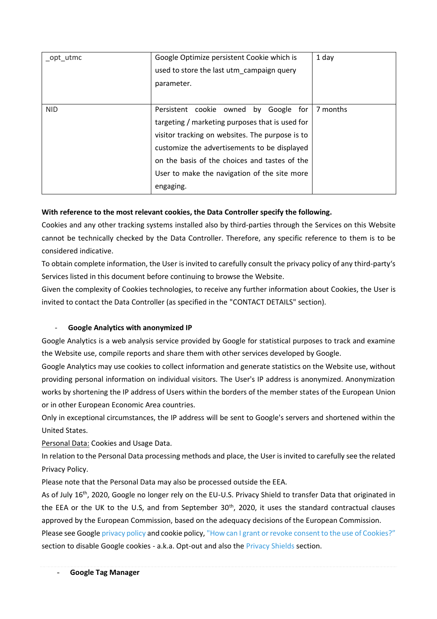| opt utmc   | Google Optimize persistent Cookie which is<br>used to store the last utm campaign query<br>parameter.                                                                                                                                                                                                        | 1 day    |
|------------|--------------------------------------------------------------------------------------------------------------------------------------------------------------------------------------------------------------------------------------------------------------------------------------------------------------|----------|
| <b>NID</b> | Persistent cookie owned<br>by Google for<br>targeting / marketing purposes that is used for<br>visitor tracking on websites. The purpose is to<br>customize the advertisements to be displayed<br>on the basis of the choices and tastes of the<br>User to make the navigation of the site more<br>engaging. | 7 months |

# **With reference to the most relevant cookies, the Data Controller specify the following.**

Cookies and any other tracking systems installed also by third-parties through the Services on this Website cannot be technically checked by the Data Controller. Therefore, any specific reference to them is to be considered indicative.

To obtain complete information, the User is invited to carefully consult the privacy policy of any third-party's Services listed in this document before continuing to browse the Website.

Given the complexity of Cookies technologies, to receive any further information about Cookies, the User is invited to contact the Data Controller (as specified in the "CONTACT DETAILS" section).

# - **Google Analytics with anonymized IP**

Google Analytics is a web analysis service provided by Google for statistical purposes to track and examine the Website use, compile reports and share them with other services developed by Google.

Google Analytics may use cookies to collect information and generate statistics on the Website use, without providing personal information on individual visitors. The User's IP address is anonymized. Anonymization works by shortening the IP address of Users within the borders of the member states of the European Union or in other European Economic Area countries.

Only in exceptional circumstances, the IP address will be sent to Google's servers and shortened within the United States.

Personal Data: Cookies and Usage Data.

In relation to the Personal Data processing methods and place, the User is invited to carefully see the related Privacy Policy.

Please note that the Personal Data may also be processed outside the EEA.

As of July 16th, 2020, Google no longer rely on the EU-U.S. Privacy Shield to transfer Data that originated in the EEA or the UK to the U.S, and from September 30<sup>th</sup>, 2020, it uses the standard contractual clauses approved by the European Commission, based on the adequacy decisions of the European Commission.

Please see Googl[e privacy policy](https://policies.google.com/privacy?hl=it) and cookie policy, ["How can I grant or revoke consent to the use of Cookies?"](#page-9-0) section to disable Google cookies - a.k.a. Opt-out and also the [Privacy Shields](#page-9-1) section.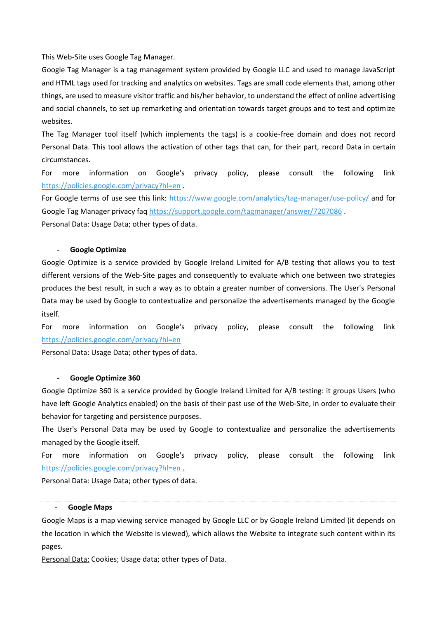This Web-Site uses Google Tag Manager.

Google Tag Manager is a tag management system provided by Google LLC and used to manage JavaScript and HTML tags used for tracking and analytics on websites. Tags are small code elements that, among other things, are used to measure visitor traffic and his/her behavior, to understand the effect of online advertising and social channels, to set up remarketing and orientation towards target groups and to test and optimize websites.

The Tag Manager tool itself (which implements the tags) is a cookie-free domain and does not record Personal Data. This tool allows the activation of other tags that can, for their part, record Data in certain circumstances.

For more information on Google's privacy policy, please consult the following link <https://policies.google.com/privacy?hl=en> .

For Google terms of use see this link:<https://www.google.com/analytics/tag-manager/use-policy/> and for Google Tag Manager privacy faq<https://support.google.com/tagmanager/answer/7207086> . Personal Data: Usage Data; other types of data.

### - **Google Optimize**

Google Optimize is a service provided by Google Ireland Limited for A/B testing that allows you to test different versions of the Web-Site pages and consequently to evaluate which one between two strategies produces the best result, in such a way as to obtain a greater number of conversions. The User's Personal Data may be used by Google to contextualize and personalize the advertisements managed by the Google itself.

For more information on Google's privacy policy, please consult the following link <https://policies.google.com/privacy?hl=en>

Personal Data: Usage Data; other types of data.

#### - **Google Optimize 360**

Google Optimize 360 is a service provided by Google Ireland Limited for A/B testing: it groups Users (who have left Google Analytics enabled) on the basis of their past use of the Web-Site, in order to evaluate their behavior for targeting and persistence purposes.

The User's Personal Data may be used by Google to contextualize and personalize the advertisements managed by the Google itself.

For more information on Google's privacy policy, please consult the following link <https://policies.google.com/privacy?hl=en> .

Personal Data: Usage Data; other types of data.

#### - **Google Maps**

Google Maps is a map viewing service managed by Google LLC or by Google Ireland Limited (it depends on the location in which the Website is viewed), which allows the Website to integrate such content within its pages.

Personal Data: Cookies; Usage data; other types of Data.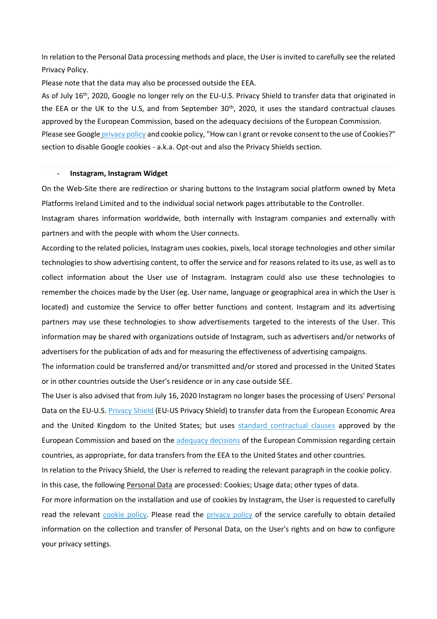In relation to the Personal Data processing methods and place, the User is invited to carefully see the related Privacy Policy.

Please note that the data may also be processed outside the EEA.

As of July 16th, 2020, Google no longer rely on the EU-U.S. Privacy Shield to transfer data that originated in the EEA or the UK to the U.S, and from September 30<sup>th</sup>, 2020, it uses the standard contractual clauses approved by the European Commission, based on the adequacy decisions of the European Commission. Please see Google [privacy policy](https://policies.google.com/privacy?hl=it) and cookie policy, "How can I grant or revoke consent to the use of Cookies?" section to disable Google cookies - a.k.a. Opt-out and also the Privacy Shields section.

#### - **Instagram, Instagram Widget**

On the Web-Site there are redirection or sharing buttons to the Instagram social platform owned by Meta Platforms Ireland Limited and to the individual social network pages attributable to the Controller.

Instagram shares information worldwide, both internally with Instagram companies and externally with partners and with the people with whom the User connects.

According to the related policies, Instagram uses cookies, pixels, local storage technologies and other similar technologies to show advertising content, to offer the service and for reasons related to its use, as well as to collect information about the User use of Instagram. Instagram could also use these technologies to remember the choices made by the User (eg. User name, language or geographical area in which the User is located) and customize the Service to offer better functions and content. Instagram and its advertising partners may use these technologies to show advertisements targeted to the interests of the User. This information may be shared with organizations outside of Instagram, such as advertisers and/or networks of advertisers for the publication of ads and for measuring the effectiveness of advertising campaigns.

The information could be transferred and/or transmitted and/or stored and processed in the United States or in other countries outside the User's residence or in any case outside SEE.

The User is also advised that from July 16, 2020 Instagram no longer bases the processing of Users' Personal Data on the EU-U.S[. Privacy Shield](https://policies.google.com/privacy/frameworks?hl=en) (EU-US Privacy Shield) to transfer data from the European Economic Area and the United Kingdom to the United States; but uses [standard contractual clauses](https://www.facebook.com/help/566994660333381?ref=dp) approved by the European Commission and based on the [adequacy decisions](https://ec.europa.eu/info/law/law-topic/data-protection/international-dimension-data-protection/adequacy-decisions_en) of the European Commission regarding certain countries, as appropriate, for data transfers from the EEA to the United States and other countries.

In relation to the Privacy Shield, the User is referred to reading the relevant paragraph in the cookie policy. In this case, the following Personal Data are processed: Cookies; Usage data; other types of data.

For more information on the installation and use of cookies by Instagram, the User is requested to carefully read the relevant [cookie policy.](https://help.instagram.com/1896641480634370?ref=ig) Please read the [privacy policy](https://help.instagram.com/519522125107875) of the service carefully to obtain detailed information on the collection and transfer of Personal Data, on the User's rights and on how to configure your privacy settings.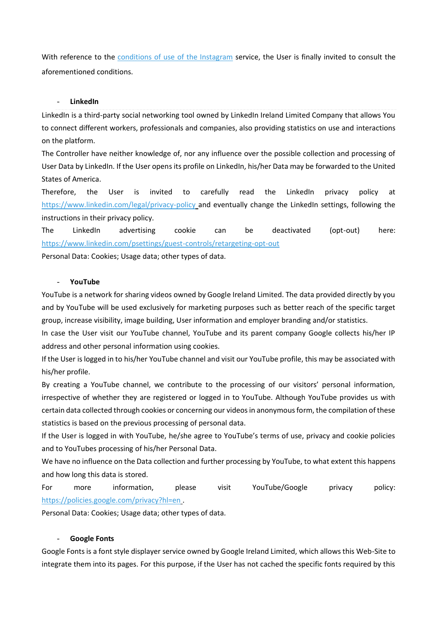With reference to the [conditions of use of the Instagram](https://help.instagram.com/581066165581870) service, the User is finally invited to consult the aforementioned conditions.

### - **LinkedIn**

LinkedIn is a third-party social networking tool owned by LinkedIn Ireland Limited Company that allows You to connect different workers, professionals and companies, also providing statistics on use and interactions on the platform.

The Controller have neither knowledge of, nor any influence over the possible collection and processing of User Data by LinkedIn. If the User opens its profile on LinkedIn, his/her Data may be forwarded to the United States of America.

Therefore, the User is invited to carefully read the LinkedIn privacy policy at <https://www.linkedin.com/legal/privacy-policy> and eventually change the LinkedIn settings, following the instructions in their privacy policy.

The LinkedIn advertising cookie can be deactivated (opt-out) here: <https://www.linkedin.com/psettings/guest-controls/retargeting-opt-out>

Personal Data: Cookies; Usage data; other types of data.

#### - **YouTube**

YouTube is a network for sharing videos owned by Google Ireland Limited. The data provided directly by you and by YouTube will be used exclusively for marketing purposes such as better reach of the specific target group, increase visibility, image building, User information and employer branding and/or statistics.

In case the User visit our YouTube channel, YouTube and its parent company Google collects his/her IP address and other personal information using cookies.

If the User is logged in to his/her YouTube channel and visit our YouTube profile, this may be associated with his/her profile.

By creating a YouTube channel, we contribute to the processing of our visitors' personal information, irrespective of whether they are registered or logged in to YouTube. Although YouTube provides us with certain data collected through cookies or concerning our videos in anonymous form, the compilation of these statistics is based on the previous processing of personal data.

If the User is logged in with YouTube, he/she agree to YouTube's terms of use, privacy and cookie policies and to YouTubes processing of his/her Personal Data.

We have no influence on the Data collection and further processing by YouTube, to what extent this happens and how long this data is stored.

For more information, please visit YouTube/Google privacy policy: <https://policies.google.com/privacy?hl=en> .

Personal Data: Cookies; Usage data; other types of data.

### - **Google Fonts**

Google Fonts is a font style displayer service owned by Google Ireland Limited, which allows this Web-Site to integrate them into its pages. For this purpose, if the User has not cached the specific fonts required by this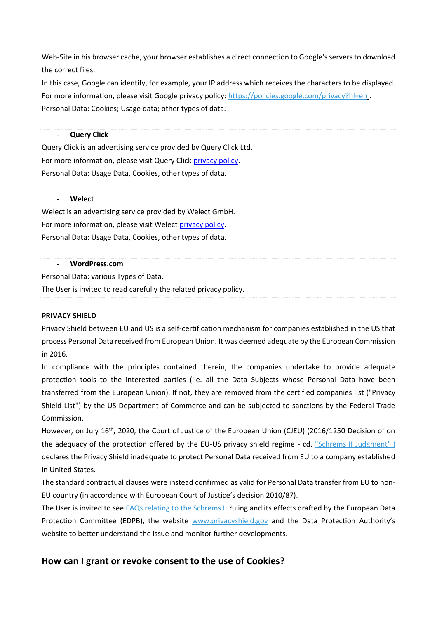Web-Site in his browser cache, your browser establishes a direct connection to Google's servers to download the correct files.

In this case, Google can identify, for example, your IP address which receives the characters to be displayed. For more information, please visit Google privacy policy:<https://policies.google.com/privacy?hl=en> . Personal Data: Cookies; Usage data; other types of data.

### **Query Click**

Query Click is an advertising service provided by Query Click Ltd. For more information, please visit Query Click [privacy policy.](https://www.queryclick.com/privacy-policy) Personal Data: Usage Data, Cookies, other types of data.

### - **Welect**

Welect is an advertising service provided by Welect GmbH. For more information, please visit Welect [privacy policy.](https://www.de.welect.de/datenschutz?lang=en) Personal Data: Usage Data, Cookies, other types of data.

#### - **WordPress.com**

Personal Data: various Types of Data.

<span id="page-9-1"></span>The User is invited to read carefully the related [privacy policy.](https://wordpress.com/support/your-site-and-the-gdpr/)

### **PRIVACY SHIELD**

Privacy Shield between EU and US is a self-certification mechanism for companies established in the US that process Personal Data received from European Union. It was deemed adequate by the European Commission in 2016.

In compliance with the principles contained therein, the companies undertake to provide adequate protection tools to the interested parties (i.e. all the Data Subjects whose Personal Data have been transferred from the European Union). If not, they are removed from the certified companies list ("Privacy Shield List") by the US Department of Commerce and can be subjected to sanctions by the Federal Trade Commission.

However, on July 16<sup>th</sup>, 2020, the Court of Justice of the European Union (CJEU) (2016/1250 Decision of on the adequacy of the protection offered by the EU-US privacy shield regime - cd. ["Schrems II Judgment",\)](https://curia.europa.eu/jcms/upload/docs/application/pdf/2020-07/cp200091it.pdf) declares the Privacy Shield inadequate to protect Personal Data received from EU to a company established in United States.

The standard contractual clauses were instead confirmed as valid for Personal Data transfer from EU to non-EU country (in accordance with European Court of Justice's decision 2010/87).

The User is invited to see [FAQs relating to the Schrems II](https://edpb.europa.eu/our-work-tools/our-documents/ohrajn/frequently-asked-questions-judgment-court-justice-european-union_en) ruling and its effects drafted by the European Data Protection Committee (EDPB), the website [www.privacyshield.gov](http://www.privacyshield.gov/) and the Data Protection Authority's website to better understand the issue and monitor further developments.

# <span id="page-9-0"></span>**How can I grant or revoke consent to the use of Cookies?**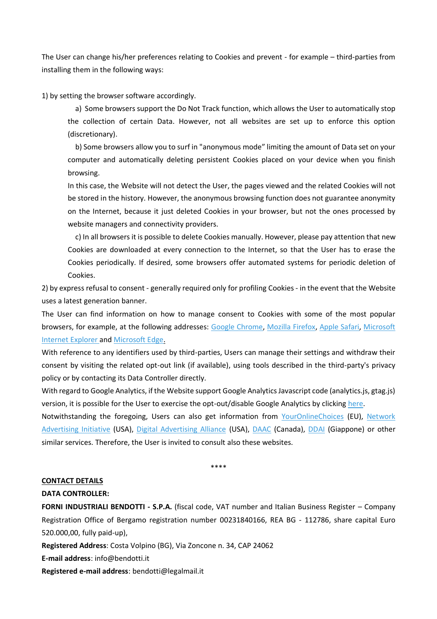The User can change his/her preferences relating to Cookies and prevent - for example – third-parties from installing them in the following ways:

1) by setting the browser software accordingly.

a) Some browsers support the Do Not Track function, which allows the User to automatically stop the collection of certain Data. However, not all websites are set up to enforce this option (discretionary).

b) Some browsers allow you to surf in "anonymous mode" limiting the amount of Data set on your computer and automatically deleting persistent Cookies placed on your device when you finish browsing.

In this case, the Website will not detect the User, the pages viewed and the related Cookies will not be stored in the history. However, the anonymous browsing function does not guarantee anonymity on the Internet, because it just deleted Cookies in your browser, but not the ones processed by website managers and connectivity providers.

c) In all browsers it is possible to delete Cookies manually. However, please pay attention that new Cookies are downloaded at every connection to the Internet, so that the User has to erase the Cookies periodically. If desired, some browsers offer automated systems for periodic deletion of Cookies.

2) by express refusal to consent - generally required only for profiling Cookies - in the event that the Website uses a latest generation banner.

The User can find information on how to manage consent to Cookies with some of the most popular browsers, for example, at the following addresses: [Google Chrome,](https://support.google.com/chrome/answer/95647?hl=it&p=cpn_cookies) [Mozilla Firefox,](https://support.mozilla.org/it/kb/protezione-antitracciamento-avanzata-firefox-desktop?redirectslug=enable-and-disable-cookies-website-preferences&redirectlocale=en-US) [Apple Safari,](https://support.apple.com/it-it/guide/safari/sfri11471/mac) [Microsoft](https://support.microsoft.com/it-it/topic/eliminare-e-gestire-i-cookie-168dab11-0753-043d-7c16-ede5947fc64d)  [Internet Explorer](https://support.microsoft.com/it-it/topic/eliminare-e-gestire-i-cookie-168dab11-0753-043d-7c16-ede5947fc64d) and [Microsoft Edge.](https://support.microsoft.com/en-us/microsoft-edge/delete-cookies-in-microsoft-edge-63947406-40ac-c3b8-57b9-2a946a29ae09)

With reference to any identifiers used by third-parties, Users can manage their settings and withdraw their consent by visiting the related opt-out link (if available), using tools described in the third-party's privacy policy or by contacting its Data Controller directly.

With regard to Google Analytics, if the Website support Google Analytics Javascript code (analytics.js, gtag.js) version, it is possible for the User to exercise the opt-out/disable Google Analytics by clickin[g here.](https://tools.google.com/dlpage/gaoptout?hl=en)

Notwithstanding the foregoing, Users can also get information from [YourOnlineChoices](http://www.youronlinechoices.eu/) (EU), [Network](https://www.networkadvertising.org/understanding-digital-advertising)  [Advertising Initiative](https://www.networkadvertising.org/understanding-digital-advertising) (USA), [Digital Advertising Alliance](https://www.aboutads.info/consumers/) (USA), [DAAC](https://youradchoices.ca/understanding-online-advertising/) (Canada), [DDAI](http://www.ddai.info/optout) (Giappone) or other similar services. Therefore, the User is invited to consult also these websites.

\*\*\*\*

#### **CONTACT DETAILS**

#### **DATA CONTROLLER:**

**FORNI INDUSTRIALI BENDOTTI - S.P.A.** (fiscal code, VAT number and Italian Business Register – Company Registration Office of Bergamo registration number 00231840166, REA BG - 112786, share capital Euro 520.000,00, fully paid-up),

**Registered Address**: Costa Volpino (BG), Via Zoncone n. 34, CAP 24062

**E-mail address**: info@bendotti.it

**Registered e-mail address**: bendotti@legalmail.it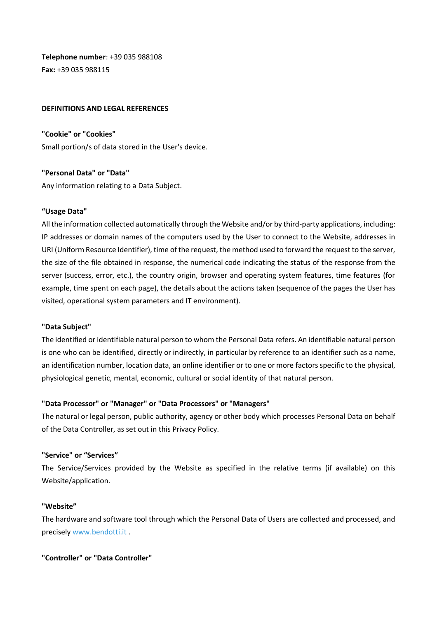**Telephone number**: +39 035 988108 **Fax:** +39 035 988115

### **DEFINITIONS AND LEGAL REFERENCES**

**"Cookie" or "Cookies"** Small portion/s of data stored in the User's device.

**"Personal Data" or "Data"**  Any information relating to a Data Subject.

### **"Usage Data"**

All the information collected automatically through the Website and/or by third-party applications, including: IP addresses or domain names of the computers used by the User to connect to the Website, addresses in URI (Uniform Resource Identifier), time of the request, the method used to forward the request to the server, the size of the file obtained in response, the numerical code indicating the status of the response from the server (success, error, etc.), the country origin, browser and operating system features, time features (for example, time spent on each page), the details about the actions taken (sequence of the pages the User has visited, operational system parameters and IT environment).

#### **"Data Subject"**

The identified or identifiable natural person to whom the Personal Data refers. An identifiable natural person is one who can be identified, directly or indirectly, in particular by reference to an identifier such as a name, an identification number, location data, an online identifier or to one or more factors specific to the physical, physiological genetic, mental, economic, cultural or social identity of that natural person.

### **"Data Processor" or "Manager" or "Data Processors" or "Managers"**

The natural or legal person, public authority, agency or other body which processes Personal Data on behalf of the Data Controller, as set out in this Privacy Policy.

### **"Service" or "Services"**

The Service/Services provided by the Website as specified in the relative terms (if available) on this Website/application.

#### **"Website"**

The hardware and software tool through which the Personal Data of Users are collected and processed, and precisel[y www.bendotti.it](http://www.bendotti.it/) .

**"Controller" or "Data Controller"**